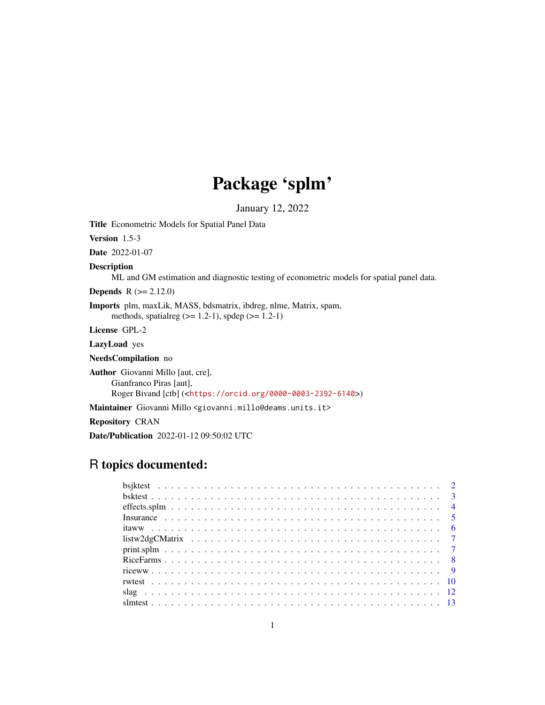# Package 'splm'

January 12, 2022

Title Econometric Models for Spatial Panel Data

Version 1.5-3

Date 2022-01-07

Description

ML and GM estimation and diagnostic testing of econometric models for spatial panel data.

**Depends**  $R (= 2.12.0)$ 

Imports plm, maxLik, MASS, bdsmatrix, ibdreg, nlme, Matrix, spam, methods, spatialreg  $(>= 1.2-1)$ , spdep  $(>= 1.2-1)$ 

License GPL-2

LazyLoad yes

NeedsCompilation no

Author Giovanni Millo [aut, cre], Gianfranco Piras [aut], Roger Bivand [ctb] (<<https://orcid.org/0000-0003-2392-6140>>)

Maintainer Giovanni Millo <giovanni.millo@deams.units.it>

Repository CRAN

Date/Publication 2022-01-12 09:50:02 UTC

# R topics documented: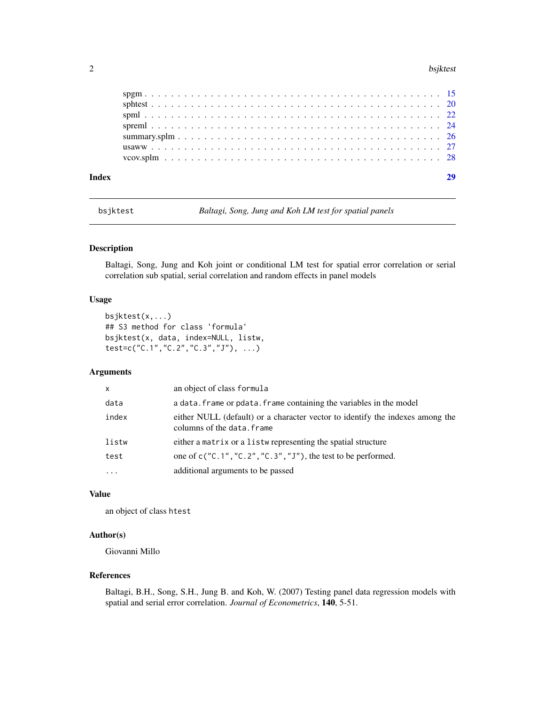#### <span id="page-1-0"></span>2 bsjktest i 1992 i 1992 til 1992 besjetest i 1992 besjetest i 1992 besjetest i 1992 besjetest i 1993 besjetes

bsjktest *Baltagi, Song, Jung and Koh LM test for spatial panels*

# Description

Baltagi, Song, Jung and Koh joint or conditional LM test for spatial error correlation or serial correlation sub spatial, serial correlation and random effects in panel models

# Usage

```
bsjktest(x,...)
## S3 method for class 'formula'
bsjktest(x, data, index=NULL, listw,
test=c("C.1","C.2","C.3","J"), ...)
```
# Arguments

| x        | an object of class formula                                                                                  |
|----------|-------------------------------------------------------------------------------------------------------------|
| data     | a data. frame or pdata. frame containing the variables in the model                                         |
| index    | either NULL (default) or a character vector to identify the indexes among the<br>columns of the data. frame |
| listw    | either a matrix or a listwe representing the spatial structure                                              |
| test     | one of $c("C.1", "C.2", "C.3", "J"),$ the test to be performed.                                             |
| $\cdots$ | additional arguments to be passed                                                                           |

# Value

an object of class htest

# Author(s)

Giovanni Millo

## References

Baltagi, B.H., Song, S.H., Jung B. and Koh, W. (2007) Testing panel data regression models with spatial and serial error correlation. *Journal of Econometrics*, 140, 5-51.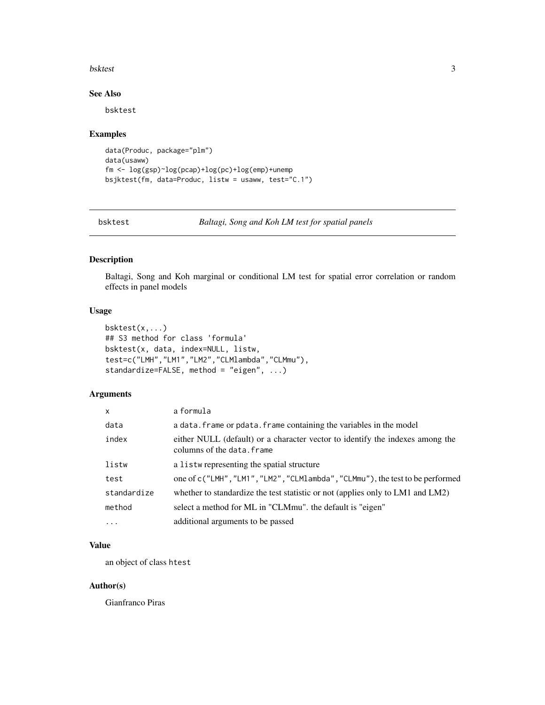#### <span id="page-2-0"></span>bsktest 3

# See Also

bsktest

#### Examples

```
data(Produc, package="plm")
data(usaww)
fm <- log(gsp)~log(pcap)+log(pc)+log(emp)+unemp
bsjktest(fm, data=Produc, listw = usaww, test="C.1")
```
bsktest *Baltagi, Song and Koh LM test for spatial panels*

# Description

Baltagi, Song and Koh marginal or conditional LM test for spatial error correlation or random effects in panel models

# Usage

```
bsktest(x,...)
## S3 method for class 'formula'
bsktest(x, data, index=NULL, listw,
test=c("LMH","LM1","LM2","CLMlambda","CLMmu"),
standardize=FALSE, method = "eigen", ...)
```
# Arguments

| X           | a formula                                                                                                   |
|-------------|-------------------------------------------------------------------------------------------------------------|
| data        | a data. frame or pdata. frame containing the variables in the model                                         |
| index       | either NULL (default) or a character vector to identify the indexes among the<br>columns of the data. frame |
| listw       | a listw representing the spatial structure                                                                  |
| test        | one of c("LMH", "LM1", "LM2", "CLM1ambda", "CLMmu"), the test to be performed                               |
| standardize | whether to standardize the test statistic or not (applies only to LM1 and LM2)                              |
| method      | select a method for ML in "CLMmu". the default is "eigen"                                                   |
| $\cdots$    | additional arguments to be passed                                                                           |

# Value

an object of class htest

# Author(s)

Gianfranco Piras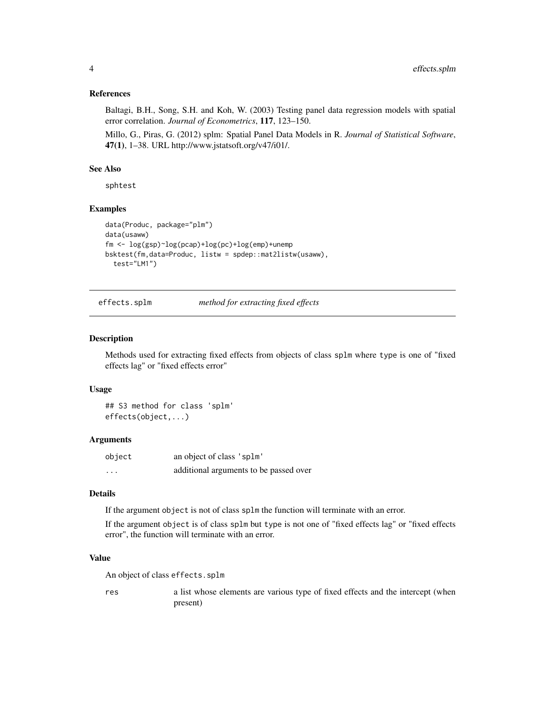# <span id="page-3-0"></span>References

Baltagi, B.H., Song, S.H. and Koh, W. (2003) Testing panel data regression models with spatial error correlation. *Journal of Econometrics*, 117, 123–150.

Millo, G., Piras, G. (2012) splm: Spatial Panel Data Models in R. *Journal of Statistical Software*, 47(1), 1–38. URL http://www.jstatsoft.org/v47/i01/.

# See Also

sphtest

#### Examples

```
data(Produc, package="plm")
data(usaww)
fm <- log(gsp)~log(pcap)+log(pc)+log(emp)+unemp
bsktest(fm,data=Produc, listw = spdep::mat2listw(usaww),
  test="LM1")
```
effects.splm *method for extracting fixed effects*

#### Description

Methods used for extracting fixed effects from objects of class splm where type is one of "fixed effects lag" or "fixed effects error"

#### Usage

## S3 method for class 'splm' effects(object,...)

# **Arguments**

| object  | an object of class 'splm'              |
|---------|----------------------------------------|
| $\cdot$ | additional arguments to be passed over |

# Details

If the argument object is not of class splm the function will terminate with an error.

If the argument object is of class splm but type is not one of "fixed effects lag" or "fixed effects error", the function will terminate with an error.

# Value

An object of class effects.splm

res a list whose elements are various type of fixed effects and the intercept (when present)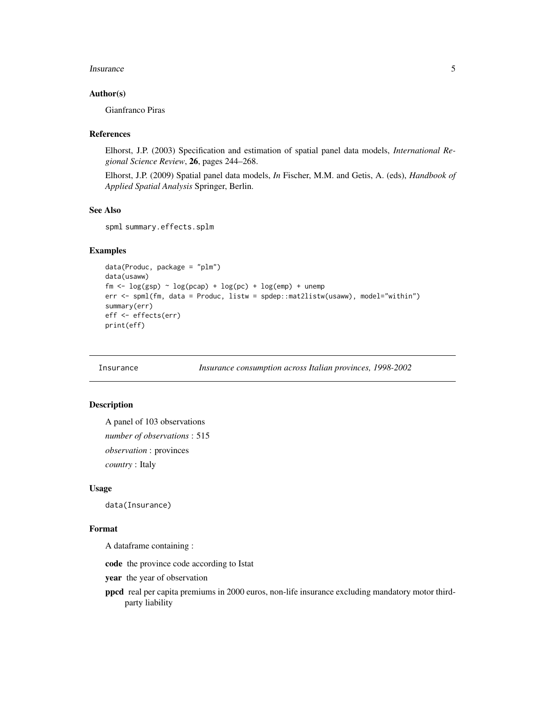#### <span id="page-4-0"></span>Insurance 5

## Author(s)

Gianfranco Piras

#### References

Elhorst, J.P. (2003) Specification and estimation of spatial panel data models, *International Regional Science Review*, 26, pages 244–268.

Elhorst, J.P. (2009) Spatial panel data models, *In* Fischer, M.M. and Getis, A. (eds), *Handbook of Applied Spatial Analysis* Springer, Berlin.

# See Also

spml summary.effects.splm

# Examples

```
data(Produc, package = "plm")
data(usaww)
fm <- \log(\text{gsp}) \sim \log(\text{pcap}) + \log(\text{pc}) + \log(\text{emp}) + \text{unemp}err <- spml(fm, data = Produc, listw = spdep::mat2listw(usaww), model="within")
summary(err)
eff <- effects(err)
print(eff)
```
Insurance *Insurance consumption across Italian provinces, 1998-2002*

# Description

```
A panel of 103 observations
number of observations : 515
observation : provinces
country : Italy
```
# Usage

data(Insurance)

# Format

A dataframe containing :

code the province code according to Istat

year the year of observation

ppcd real per capita premiums in 2000 euros, non-life insurance excluding mandatory motor thirdparty liability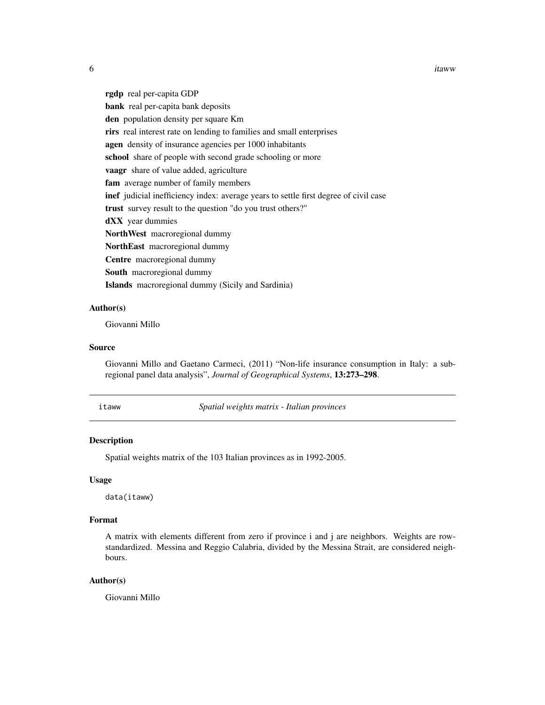6 itaww

rgdp real per-capita GDP bank real per-capita bank deposits den population density per square Km rirs real interest rate on lending to families and small enterprises agen density of insurance agencies per 1000 inhabitants school share of people with second grade schooling or more vaagr share of value added, agriculture fam average number of family members inef judicial inefficiency index: average years to settle first degree of civil case trust survey result to the question "do you trust others?" dXX year dummies NorthWest macroregional dummy NorthEast macroregional dummy Centre macroregional dummy South macroregional dummy Islands macroregional dummy (Sicily and Sardinia)

#### Author(s)

Giovanni Millo

#### Source

Giovanni Millo and Gaetano Carmeci, (2011) "Non-life insurance consumption in Italy: a subregional panel data analysis", *Journal of Geographical Systems*, 13:273–298.

itaww *Spatial weights matrix - Italian provinces*

# Description

Spatial weights matrix of the 103 Italian provinces as in 1992-2005.

#### Usage

data(itaww)

# Format

A matrix with elements different from zero if province i and j are neighbors. Weights are rowstandardized. Messina and Reggio Calabria, divided by the Messina Strait, are considered neighbours.

# Author(s)

Giovanni Millo

<span id="page-5-0"></span>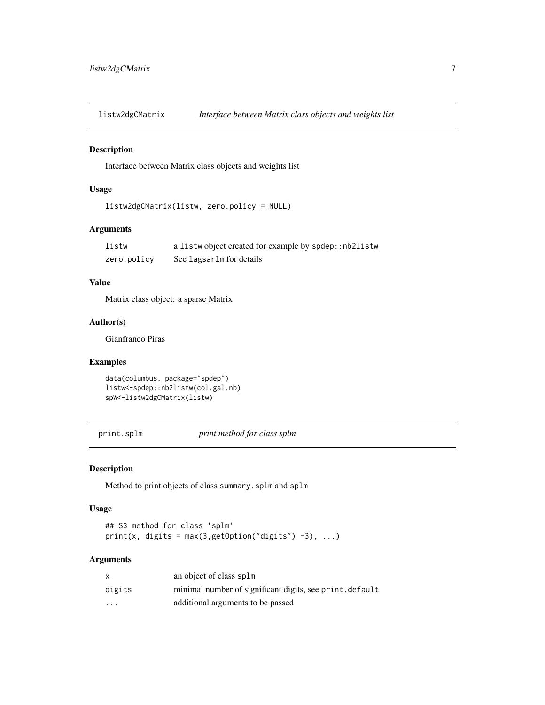<span id="page-6-0"></span>listw2dgCMatrix *Interface between Matrix class objects and weights list*

#### Description

Interface between Matrix class objects and weights list

# Usage

```
listw2dgCMatrix(listw, zero.policy = NULL)
```
# Arguments

| listw       | a listwobject created for example by spdep:: nb2listw |
|-------------|-------------------------------------------------------|
| zero.policy | See lagsarlm for details                              |

## Value

Matrix class object: a sparse Matrix

# Author(s)

Gianfranco Piras

# Examples

```
data(columbus, package="spdep")
listw<-spdep::nb2listw(col.gal.nb)
spW<-listw2dgCMatrix(listw)
```
print.splm *print method for class splm*

# Description

Method to print objects of class summary.splm and splm

# Usage

## S3 method for class 'splm'  $print(x, digits = max(3, getOption("digits") -3), ...)$ 

| X       | an object of class splm                                 |
|---------|---------------------------------------------------------|
| digits  | minimal number of significant digits, see print.default |
| $\cdot$ | additional arguments to be passed                       |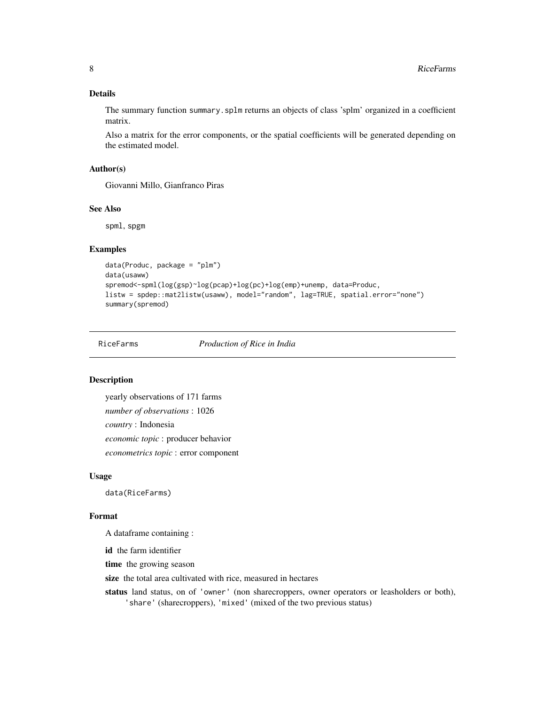# <span id="page-7-0"></span>Details

The summary function summary.splm returns an objects of class 'splm' organized in a coefficient matrix.

Also a matrix for the error components, or the spatial coefficients will be generated depending on the estimated model.

# Author(s)

Giovanni Millo, Gianfranco Piras

#### See Also

spml, spgm

# Examples

```
data(Produc, package = "plm")
data(usaww)
spremod<-spml(log(gsp)~log(pcap)+log(pc)+log(emp)+unemp, data=Produc,
listw = spdep::mat2listw(usaww), model="random", lag=TRUE, spatial.error="none")
summary(spremod)
```
RiceFarms *Production of Rice in India*

# Description

yearly observations of 171 farms *number of observations* : 1026 *country* : Indonesia *economic topic* : producer behavior *econometrics topic* : error component

#### Usage

data(RiceFarms)

#### Format

A dataframe containing :

id the farm identifier

time the growing season

size the total area cultivated with rice, measured in hectares

status land status, on of 'owner' (non sharecroppers, owner operators or leasholders or both), 'share' (sharecroppers), 'mixed' (mixed of the two previous status)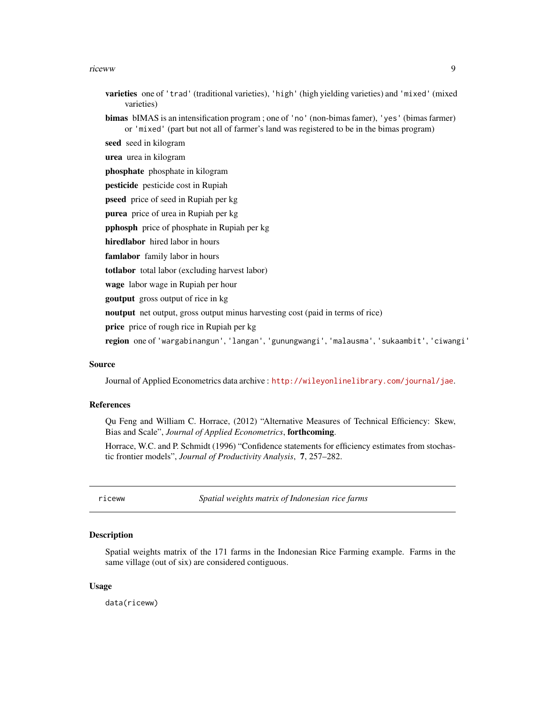#### <span id="page-8-0"></span>riceww 99

- varieties one of 'trad' (traditional varieties), 'high' (high yielding varieties) and 'mixed' (mixed varieties)
- bimas bIMAS is an intensification program ; one of 'no' (non-bimas famer), 'yes' (bimas farmer) or 'mixed' (part but not all of farmer's land was registered to be in the bimas program)

seed seed in kilogram

urea urea in kilogram

phosphate phosphate in kilogram

pesticide pesticide cost in Rupiah

pseed price of seed in Rupiah per kg

purea price of urea in Rupiah per kg

pphosph price of phosphate in Rupiah per kg

hiredlabor hired labor in hours

famlabor family labor in hours

totlabor total labor (excluding harvest labor)

wage labor wage in Rupiah per hour

**goutput** gross output of rice in kg

noutput net output, gross output minus harvesting cost (paid in terms of rice)

price price of rough rice in Rupiah per kg

region one of 'wargabinangun', 'langan', 'gunungwangi', 'malausma', 'sukaambit', 'ciwangi'

#### Source

Journal of Applied Econometrics data archive : <http://wileyonlinelibrary.com/journal/jae>.

# References

Qu Feng and William C. Horrace, (2012) "Alternative Measures of Technical Efficiency: Skew, Bias and Scale", *Journal of Applied Econometrics*, forthcoming.

Horrace, W.C. and P. Schmidt (1996) "Confidence statements for efficiency estimates from stochastic frontier models", *Journal of Productivity Analysis*, 7, 257–282.

riceww *Spatial weights matrix of Indonesian rice farms*

#### **Description**

Spatial weights matrix of the 171 farms in the Indonesian Rice Farming example. Farms in the same village (out of six) are considered contiguous.

## Usage

data(riceww)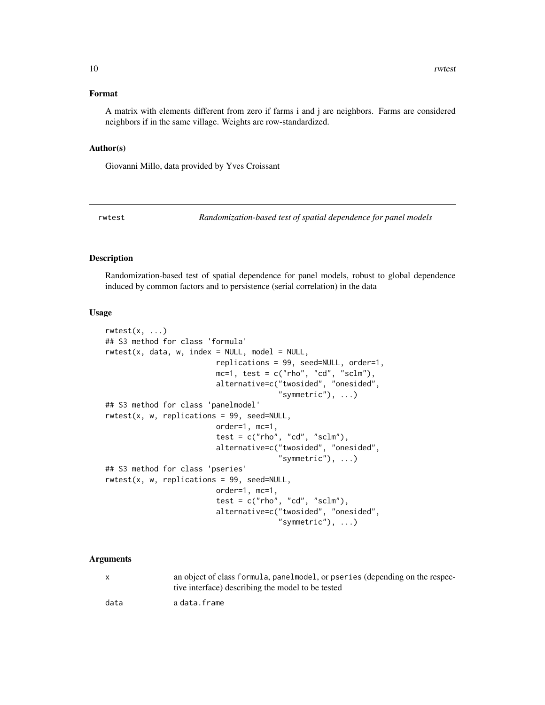#### <span id="page-9-0"></span>Format

A matrix with elements different from zero if farms i and j are neighbors. Farms are considered neighbors if in the same village. Weights are row-standardized.

#### Author(s)

Giovanni Millo, data provided by Yves Croissant

rwtest *Randomization-based test of spatial dependence for panel models*

# Description

Randomization-based test of spatial dependence for panel models, robust to global dependence induced by common factors and to persistence (serial correlation) in the data

#### Usage

```
rwtest(x, \ldots)## S3 method for class 'formula'
rwtest(x, data, w, index = NULL, model = NULL,replications = 99, seed=NULL, order=1,
                         mc=1, test = c("rho", "cd", "sclm"),
                         alternative=c("twosided", "onesided",
                                        "symmetric", ...)
## S3 method for class 'panelmodel'
rwtest(x, w, replications = 99, seed=NULL,
                         order=1, mc=1,
                         test = c("rho", "cd", "sclm"),
                         alternative=c("twosided", "onesided",
                                       "symmetric"), ...)
## S3 method for class 'pseries'
rwtest(x, w, replications = 99, seed=NULL,
                         order=1, mc=1,
                         test = c("rho", "cd", "sclm"),alternative=c("twosided", "onesided",
                                        "symmetric"), \ldots)
```

| X    | an object of class formula, panelmodel, or pseries (depending on the respec-<br>tive interface) describing the model to be tested |
|------|-----------------------------------------------------------------------------------------------------------------------------------|
| data | a data.frame                                                                                                                      |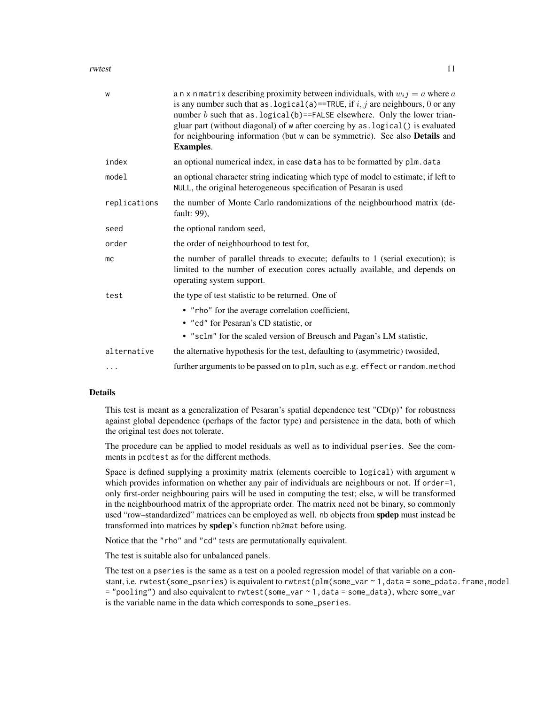#### rwtest 11

| W            | a n x n matrix describing proximity between individuals, with $w_i j = a$ where a<br>is any number such that as . logical (a)==TRUE, if $i, j$ are neighbours, 0 or any<br>number $b$ such that as . logical (b)==FALSE elsewhere. Only the lower trian-<br>gluar part (without diagonal) of w after coercing by as . logical () is evaluated<br>for neighbouring information (but w can be symmetric). See also Details and<br><b>Examples.</b> |
|--------------|--------------------------------------------------------------------------------------------------------------------------------------------------------------------------------------------------------------------------------------------------------------------------------------------------------------------------------------------------------------------------------------------------------------------------------------------------|
| index        | an optional numerical index, in case data has to be formatted by plm. data                                                                                                                                                                                                                                                                                                                                                                       |
| model        | an optional character string indicating which type of model to estimate; if left to<br>NULL, the original heterogeneous specification of Pesaran is used                                                                                                                                                                                                                                                                                         |
| replications | the number of Monte Carlo randomizations of the neighbourhood matrix (de-<br>fault: 99),                                                                                                                                                                                                                                                                                                                                                         |
| seed         | the optional random seed,                                                                                                                                                                                                                                                                                                                                                                                                                        |
| order        | the order of neighbourhood to test for,                                                                                                                                                                                                                                                                                                                                                                                                          |
| mc           | the number of parallel threads to execute; defaults to 1 (serial execution); is<br>limited to the number of execution cores actually available, and depends on<br>operating system support.                                                                                                                                                                                                                                                      |
| test         | the type of test statistic to be returned. One of                                                                                                                                                                                                                                                                                                                                                                                                |
|              | • "rho" for the average correlation coefficient,<br>• "cd" for Pesaran's CD statistic, or<br>• "sclm" for the scaled version of Breusch and Pagan's LM statistic,                                                                                                                                                                                                                                                                                |
| alternative  | the alternative hypothesis for the test, defaulting to (asymmetric) twosided,                                                                                                                                                                                                                                                                                                                                                                    |
| .            | further arguments to be passed on to plm, such as e.g. effect or random.method                                                                                                                                                                                                                                                                                                                                                                   |

# Details

This test is meant as a generalization of Pesaran's spatial dependence test  $"CD(p)"$  for robustness against global dependence (perhaps of the factor type) and persistence in the data, both of which the original test does not tolerate.

The procedure can be applied to model residuals as well as to individual pseries. See the comments in pcdtest as for the different methods.

Space is defined supplying a proximity matrix (elements coercible to logical) with argument w which provides information on whether any pair of individuals are neighbours or not. If order=1, only first-order neighbouring pairs will be used in computing the test; else, w will be transformed in the neighbourhood matrix of the appropriate order. The matrix need not be binary, so commonly used "row–standardized" matrices can be employed as well. nb objects from **spdep** must instead be transformed into matrices by spdep's function nb2mat before using.

Notice that the "rho" and "cd" tests are permutationally equivalent.

The test is suitable also for unbalanced panels.

The test on a pseries is the same as a test on a pooled regression model of that variable on a constant, i.e. rwtest(some\_pseries) is equivalent to rwtest(plm(some\_var ~ 1,data = some\_pdata.frame,model = "pooling") and also equivalent to rwtest(some\_var ~ 1,data = some\_data), where some\_var is the variable name in the data which corresponds to some\_pseries.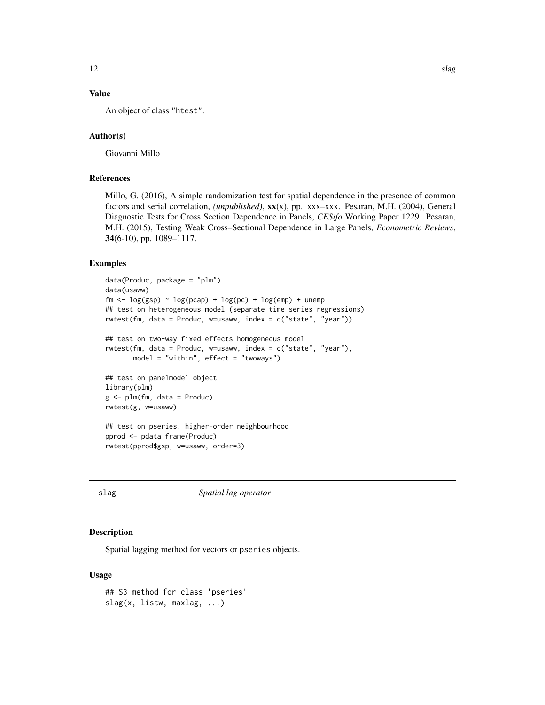# <span id="page-11-0"></span>Value

An object of class "htest".

# Author(s)

Giovanni Millo

# References

Millo, G. (2016), A simple randomization test for spatial dependence in the presence of common factors and serial correlation, *(unpublished)*, xx(x), pp. xxx–xxx. Pesaran, M.H. (2004), General Diagnostic Tests for Cross Section Dependence in Panels, *CESifo* Working Paper 1229. Pesaran, M.H. (2015), Testing Weak Cross–Sectional Dependence in Large Panels, *Econometric Reviews*, 34(6-10), pp. 1089–1117.

# Examples

```
data(Produc, package = "plm")
data(usaww)
fm <- \log(\text{gsp}) \sim \log(\text{pcap}) + \log(\text{pc}) + \log(\text{emp}) + \text{unemp}## test on heterogeneous model (separate time series regressions)
rwtest(fm, data = Produc, w=usaww, index = c("state", "year"))
## test on two-way fixed effects homogeneous model
rwtest(fm, data = Produc, w=usaww, index = c("state", "year"),
       model = "within", effect = "twoways")## test on panelmodel object
library(plm)
g \leftarrow \text{plm}(fm, data = \text{Product})rwtest(g, w=usaww)
## test on pseries, higher-order neighbourhood
pprod <- pdata.frame(Produc)
rwtest(pprod$gsp, w=usaww, order=3)
```
slag *Spatial lag operator*

# Description

Spatial lagging method for vectors or pseries objects.

## Usage

```
## S3 method for class 'pseries'
slag(x, listw, maxlag, ...)
```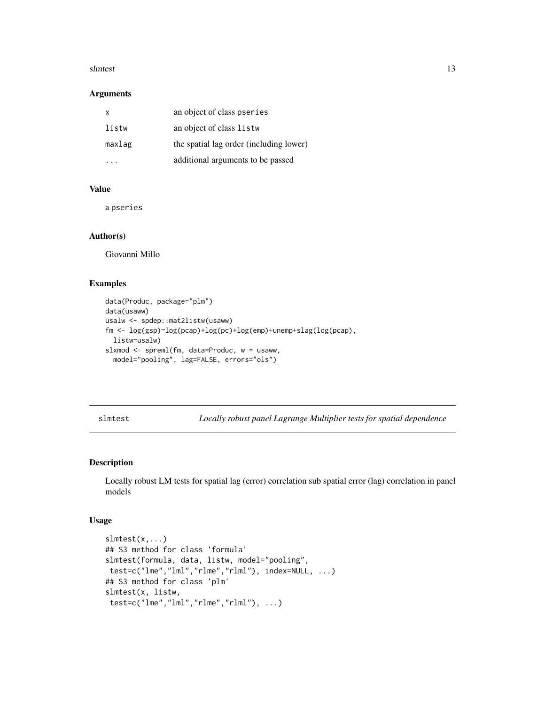#### <span id="page-12-0"></span>slmtest 13

#### Arguments

| X      | an object of class pseries              |
|--------|-----------------------------------------|
| listw  | an object of class listw                |
| maxlag | the spatial lag order (including lower) |
|        | additional arguments to be passed       |

# Value

a pseries

#### Author(s)

Giovanni Millo

# Examples

```
data(Produc, package="plm")
data(usaww)
usalw <- spdep::mat2listw(usaww)
fm <- log(gsp)~log(pcap)+log(pc)+log(emp)+unemp+slag(log(pcap),
 listw=usalw)
slxmod <- spreml(fm, data=Produc, w = usaww,
  model="pooling", lag=FALSE, errors="ols")
```
slmtest *Locally robust panel Lagrange Multiplier tests for spatial dependence*

#### Description

Locally robust LM tests for spatial lag (error) correlation sub spatial error (lag) correlation in panel models

# Usage

```
slmtest(x,...)
## S3 method for class 'formula'
slmtest(formula, data, listw, model="pooling",
test=c("lme","lml","rlme","rlml"), index=NULL, ...)
## S3 method for class 'plm'
slmtest(x, listw,
test=c("lme","lml","rlme","rlml"), ...)
```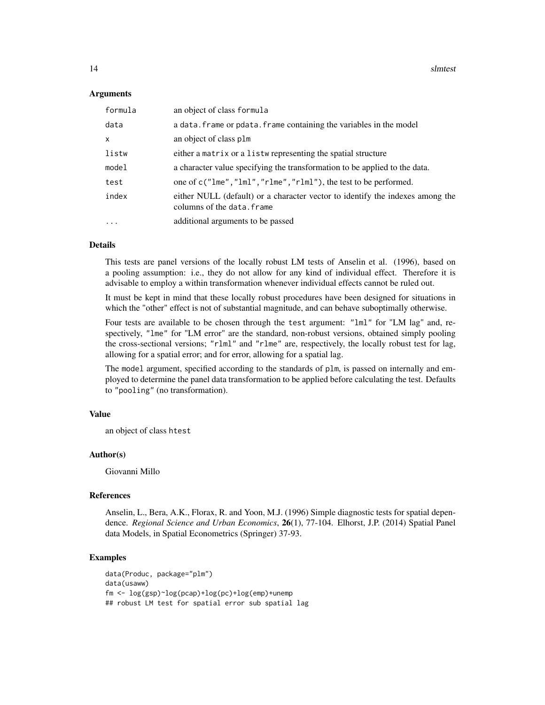#### Arguments

| formula           | an object of class formula                                                                                  |
|-------------------|-------------------------------------------------------------------------------------------------------------|
| data              | a data. frame or pdata. frame containing the variables in the model                                         |
| X                 | an object of class plm                                                                                      |
| listw             | either a matrix or a listwe representing the spatial structure                                              |
| model             | a character value specifying the transformation to be applied to the data.                                  |
| test              | one of c("lme","lml","rlme","rlml"), the test to be performed.                                              |
| index             | either NULL (default) or a character vector to identify the indexes among the<br>columns of the data. frame |
| $\cdot\cdot\cdot$ | additional arguments to be passed                                                                           |

# Details

This tests are panel versions of the locally robust LM tests of Anselin et al. (1996), based on a pooling assumption: i.e., they do not allow for any kind of individual effect. Therefore it is advisable to employ a within transformation whenever individual effects cannot be ruled out.

It must be kept in mind that these locally robust procedures have been designed for situations in which the "other" effect is not of substantial magnitude, and can behave suboptimally otherwise.

Four tests are available to be chosen through the test argument: "lml" for "LM lag" and, respectively, "lme" for "LM error" are the standard, non-robust versions, obtained simply pooling the cross-sectional versions; "rlml" and "rlme" are, respectively, the locally robust test for lag, allowing for a spatial error; and for error, allowing for a spatial lag.

The model argument, specified according to the standards of plm, is passed on internally and employed to determine the panel data transformation to be applied before calculating the test. Defaults to "pooling" (no transformation).

# Value

an object of class htest

# Author(s)

Giovanni Millo

#### References

Anselin, L., Bera, A.K., Florax, R. and Yoon, M.J. (1996) Simple diagnostic tests for spatial dependence. *Regional Science and Urban Economics*, 26(1), 77-104. Elhorst, J.P. (2014) Spatial Panel data Models, in Spatial Econometrics (Springer) 37-93.

# Examples

```
data(Produc, package="plm")
data(usaww)
fm <- log(gsp)~log(pcap)+log(pc)+log(emp)+unemp
## robust LM test for spatial error sub spatial lag
```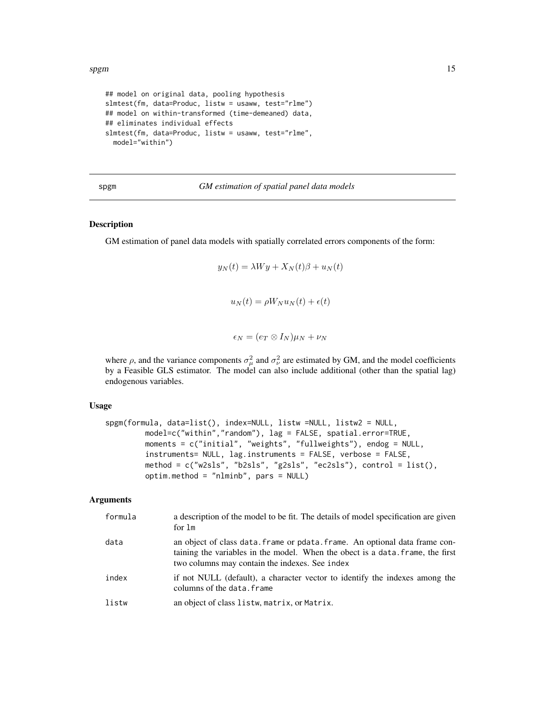```
## model on original data, pooling hypothesis
slmtest(fm, data=Produc, listw = usaww, test="rlme")
## model on within-transformed (time-demeaned) data,
## eliminates individual effects
slmtest(fm, data=Produc, listw = usaww, test="rlme",
 model="within")
```
# spgm *GM estimation of spatial panel data models*

#### Description

GM estimation of panel data models with spatially correlated errors components of the form:

$$
y_N(t) = \lambda Wy + X_N(t)\beta + u_N(t)
$$

 $u_N(t) = \rho W_N u_N(t) + \epsilon(t)$ 

 $\epsilon_N = (e_T \otimes I_N) \mu_N + \nu_N$ 

where  $\rho$ , and the variance components  $\sigma_{\mu}^2$  and  $\sigma_{\nu}^2$  are estimated by GM, and the model coefficients by a Feasible GLS estimator. The model can also include additional (other than the spatial lag) endogenous variables.

#### Usage

```
spgm(formula, data=list(), index=NULL, listw =NULL, listw2 = NULL,
         model=c("within","random"), lag = FALSE, spatial.error=TRUE,
         moments = c("initial", "weights", "fullweights"), endog = NULL,
         instruments= NULL, lag.instruments = FALSE, verbose = FALSE,
         method = c("w2sls", "b2sls", "g2sls", "ec2sls"), control = list(),
         optim.method = "nlminb", pars = NULL)
```

| formula | a description of the model to be fit. The details of model specification are given<br>for 1m                                                                                                                    |
|---------|-----------------------------------------------------------------------------------------------------------------------------------------------------------------------------------------------------------------|
| data    | an object of class data. frame or pdata. frame. An optional data frame con-<br>taining the variables in the model. When the obect is a data, frame, the first<br>two columns may contain the indexes. See index |
| index   | if not NULL (default), a character vector to identify the indexes among the<br>columns of the data. frame                                                                                                       |
| listw   | an object of class listw, matrix, or Matrix.                                                                                                                                                                    |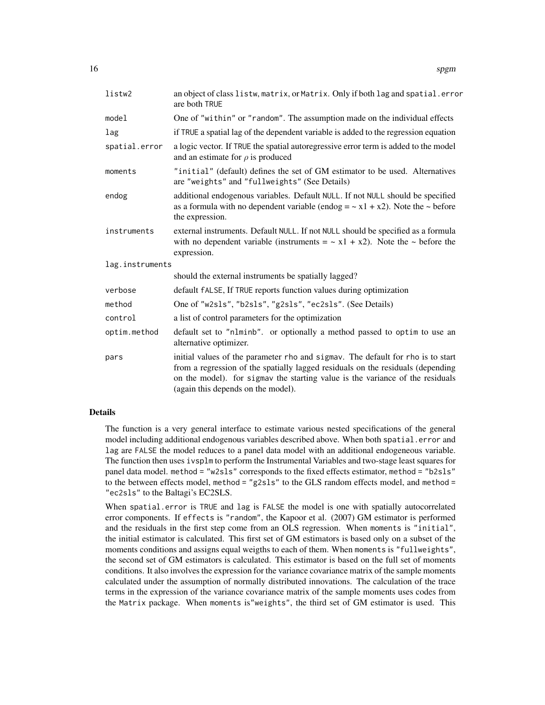| listw2          | an object of class listw, matrix, or Matrix. Only if both lag and spatial.error<br>are both TRUE                                                                                                                                                                                          |
|-----------------|-------------------------------------------------------------------------------------------------------------------------------------------------------------------------------------------------------------------------------------------------------------------------------------------|
| model           | One of "within" or "random". The assumption made on the individual effects                                                                                                                                                                                                                |
| lag             | if TRUE a spatial lag of the dependent variable is added to the regression equation                                                                                                                                                                                                       |
| spatial.error   | a logic vector. If TRUE the spatial autoregressive error term is added to the model<br>and an estimate for $\rho$ is produced                                                                                                                                                             |
| moments         | "initial" (default) defines the set of GM estimator to be used. Alternatives<br>are "weights" and "fullweights" (See Details)                                                                                                                                                             |
| endog           | additional endogenous variables. Default NULL. If not NULL should be specified<br>as a formula with no dependent variable (endog = $\sim x1 + x2$ ). Note the $\sim$ before<br>the expression.                                                                                            |
| instruments     | external instruments. Default NULL. If not NULL should be specified as a formula<br>with no dependent variable (instruments = $\sim x1 + x2$ ). Note the $\sim$ before the<br>expression.                                                                                                 |
| lag.instruments |                                                                                                                                                                                                                                                                                           |
|                 | should the external instruments be spatially lagged?                                                                                                                                                                                                                                      |
| verbose         | default fALSE, If TRUE reports function values during optimization                                                                                                                                                                                                                        |
| method          | One of "w2s1s", "b2s1s", "g2s1s", "ec2s1s". (See Details)                                                                                                                                                                                                                                 |
| control         | a list of control parameters for the optimization                                                                                                                                                                                                                                         |
| optim.method    | default set to "nlminb". or optionally a method passed to optim to use an<br>alternative optimizer.                                                                                                                                                                                       |
| pars            | initial values of the parameter rho and sigmav. The default for rho is to start<br>from a regression of the spatially lagged residuals on the residuals (depending<br>on the model). for sigmav the starting value is the variance of the residuals<br>(again this depends on the model). |

# Details

The function is a very general interface to estimate various nested specifications of the general model including additional endogenous variables described above. When both spatial.error and lag are FALSE the model reduces to a panel data model with an additional endogeneous variable. The function then uses ivsplm to perform the Instrumental Variables and two-stage least squares for panel data model. method = "w2sls" corresponds to the fixed effects estimator, method = "b2sls" to the between effects model, method = "g2sls" to the GLS random effects model, and method = "ec2sls" to the Baltagi's EC2SLS.

When spatial.error is TRUE and lag is FALSE the model is one with spatially autocorrelated error components. If effects is "random", the Kapoor et al. (2007) GM estimator is performed and the residuals in the first step come from an OLS regression. When moments is "initial", the initial estimator is calculated. This first set of GM estimators is based only on a subset of the moments conditions and assigns equal weigths to each of them. When moments is "fullweights", the second set of GM estimators is calculated. This estimator is based on the full set of moments conditions. It also involves the expression for the variance covariance matrix of the sample moments calculated under the assumption of normally distributed innovations. The calculation of the trace terms in the expression of the variance covariance matrix of the sample moments uses codes from the Matrix package. When moments is"weights", the third set of GM estimator is used. This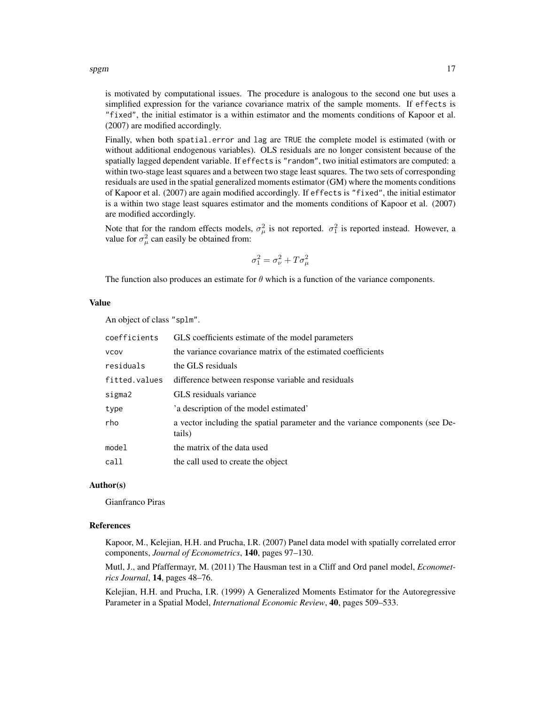spgm and the state of the state of the state of the state of the state of the state of the state of the state of the state of the state of the state of the state of the state of the state of the state of the state of the s

is motivated by computational issues. The procedure is analogous to the second one but uses a simplified expression for the variance covariance matrix of the sample moments. If effects is "fixed", the initial estimator is a within estimator and the moments conditions of Kapoor et al. (2007) are modified accordingly.

Finally, when both spatial.error and lag are TRUE the complete model is estimated (with or without additional endogenous variables). OLS residuals are no longer consistent because of the spatially lagged dependent variable. If effects is "random", two initial estimators are computed: a within two-stage least squares and a between two stage least squares. The two sets of corresponding residuals are used in the spatial generalized moments estimator (GM) where the moments conditions of Kapoor et al. (2007) are again modified accordingly. If effects is "fixed", the initial estimator is a within two stage least squares estimator and the moments conditions of Kapoor et al. (2007) are modified accordingly.

Note that for the random effects models,  $\sigma_{\mu}^2$  is not reported.  $\sigma_1^2$  is reported instead. However, a value for  $\sigma_{\mu}^2$  can easily be obtained from:

$$
\sigma_1^2 = \sigma_\nu^2 + T\sigma_\mu^2
$$

The function also produces an estimate for  $\theta$  which is a function of the variance components.

#### Value

An object of class "splm".

| coefficients  | GLS coefficients estimate of the model parameters                                       |
|---------------|-----------------------------------------------------------------------------------------|
| <b>VCOV</b>   | the variance covariance matrix of the estimated coefficients                            |
| residuals     | the GLS residuals                                                                       |
| fitted.values | difference between response variable and residuals                                      |
| sigma2        | GLS residuals variance                                                                  |
| type          | 'a description of the model estimated'                                                  |
| rho           | a vector including the spatial parameter and the variance components (see De-<br>tails) |
| model         | the matrix of the data used                                                             |
| call          | the call used to create the object                                                      |

#### Author(s)

Gianfranco Piras

#### References

Kapoor, M., Kelejian, H.H. and Prucha, I.R. (2007) Panel data model with spatially correlated error components, *Journal of Econometrics*, 140, pages 97–130.

Mutl, J., and Pfaffermayr, M. (2011) The Hausman test in a Cliff and Ord panel model, *Econometrics Journal*, 14, pages 48–76.

Kelejian, H.H. and Prucha, I.R. (1999) A Generalized Moments Estimator for the Autoregressive Parameter in a Spatial Model, *International Economic Review*, 40, pages 509–533.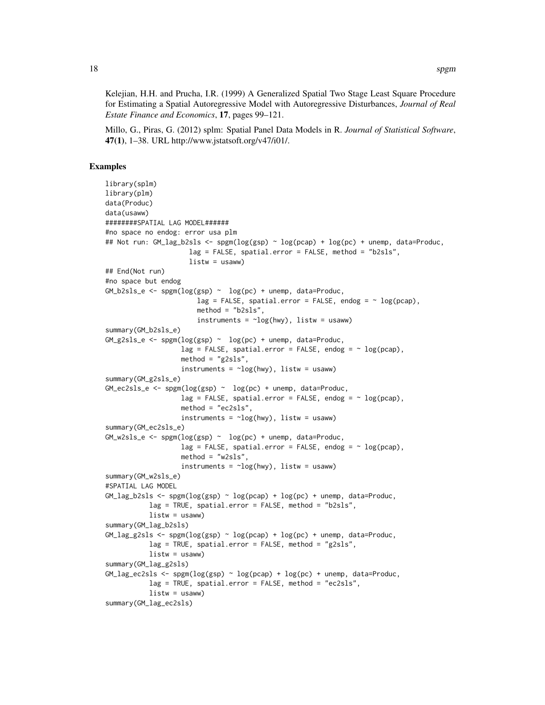Kelejian, H.H. and Prucha, I.R. (1999) A Generalized Spatial Two Stage Least Square Procedure for Estimating a Spatial Autoregressive Model with Autoregressive Disturbances, *Journal of Real Estate Finance and Economics*, 17, pages 99–121.

Millo, G., Piras, G. (2012) splm: Spatial Panel Data Models in R. *Journal of Statistical Software*, 47(1), 1–38. URL http://www.jstatsoft.org/v47/i01/.

# Examples

```
library(splm)
library(plm)
data(Produc)
data(usaww)
########SPATIAL LAG MODEL######
#no space no endog: error usa plm
## Not run: GM_lag_b2sls <- spgm(log(gsp) ~ log(pcap) + log(pc) + unemp, data=Produc,
                      lag = FALSE, spatial.error = FALSE, method = "b2sls",
                      listw = usaww)
## End(Not run)
#no space but endog
GM_b2sls_e \leftarrow spgm(log(ssp) \sim log(pc) + unemp, data=Product,lag = FALSE, spatial.error = FALSE, endog = \sim log(pcap),
                        method = "b2sls",instruments = \neglog(hwy), listw = usaww)
summary(GM_b2sls_e)
GM_g2sls_e \leftarrow spgm(log(ssp) \sim log(pc) + unemp, data=Product,lag = FALSE, spatial.error = FALSE, endog = \sim log(pcap),
                    method = "g2sls",
                    instruments = \simlog(hwy), listw = usaww)
summary(GM_g2sls_e)
GM_eczsls_e \leftarrow spgm(log(ssp) \sim log(pc) + unemp, data=Product,lag = FALSE, spatial.error = FALSE, endog = \sim log(pcap),
                    method = "ec2sls",instruments = \simlog(hwy), listw = usaww)
summary(GM_ec2sls_e)
GM_w2sls_e \leftarrow spgm(log(ssp) \sim log(pc) + unemp, data=Product,lag = FALSE, spatial.error = FALSE, endog = \sim log(pcap),
                    method = "w2sls",
                    instruments = \simlog(hwy), listw = usaww)
summary(GM_w2sls_e)
#SPATIAL LAG MODEL
GM_{lag_b2sls} <- spgm(log(gsp) \sim log(pcap) + log(pc) + unemp, data=Produc,
           lag = TRUE, spatial.error = FALSE, method = "b2sls",
           listw = usaww)summary(GM_lag_b2sls)
GM_{\text{Jag}}2sls <- spgm(\log(gsp) \sim \log(pcap) + \log(pc) + unemp, data=Produc,
           lag = TRUE, spatial.error = FALSE, method = "g2sls",
           listw = usaww)summary(GM_lag_g2sls)
GM_lag_ec2sls <- spam(log(sp) \sim log(pcap) + log(pc) + unemp, data=Product,lag = TRUE, spatial.error = FALSE, method = "ec2sls",
           listw = usaww)summary(GM_lag_ec2sls)
```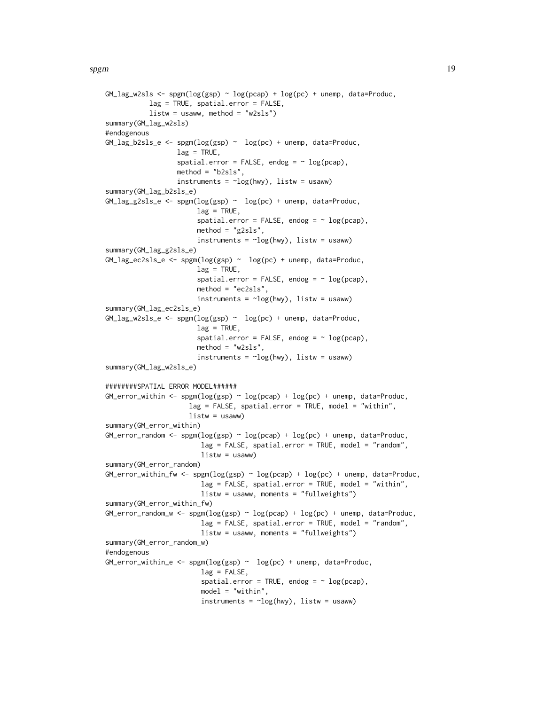```
GM_{\text{mag}}w2sls <- spgm(\log(gsp) \sim \log(pcap) + \log(pc) + unemp, data=Produc,
            lag = TRUE, spatial.error = FALSE,
            listw = usaww, method = "w2sls")summary(GM_lag_w2sls)
#endogenous
GM\_lag_b2sls_e \leftarrow spgm(log(ssp) \sim log(pc) + unemp, data=Product,lag = TRUE,spatial.error = FALSE, endog = \sim log(pcap),
                   method = "b2sls".instruments = \simlog(hwy), listw = usaww)
summary(GM_lag_b2sls_e)
GM\_{lag_g2sls\_{e} \leftarrow spgm(log(ssp) \sim log(pc) + unemp, data=Product,lag = TRUE,spatial.error = FALSE, endog = \sim log(pcap),
                         method = "g2sls",instruments = \simlog(hwy), listw = usaww)
summary(GM_lag_g2sls_e)
GM_lag_ec2sls_e <- spgm(log(gsp) ~ log(pc) + unemp, data=Produc,
                         lag = TRUE,spatial.error = FALSE, endog = \sim log(pcap),
                         method = "ec2sls",
                         instruments = \neglog(hwy), listw = usaww)
summary(GM_lag_ec2sls_e)
GM_lag_w2sls_e <- spgm(log(gsp) ~ log(pc) + unemp, data=Produc,
                         lag = TRUE,spatial.error = FALSE, endog = \sim log(pcap),
                         method = "w2sls",instruments = \simlog(hwy), listw = usaww)
summary(GM_lag_w2sls_e)
########SPATIAL ERROR MODEL######
GM_error_within <- spam(log(ssp) \sim log(pcap) + log(pc) + unemp, data=Product,lag = FALSE, spatial_error = TRUE, model = "within",listw = usaww)summary(GM_error_within)
GM_error_random <- spgm(log(ssp) \sim log(pcap) + log(pc) + unemp, data=Product,lag = FALSE, spatial.error = TRUE, model = "random",
                          listw = usaww)
summary(GM_error_random)
GM_{\text{eff}} \text{with}\ \leq \text{sym}(\log(\text{ggp}) \sim \log(\text{pcap}) + \log(\text{pc}) + \text{unemp}, \text{data=Product},lag = FALSE, spatial_error = TRUE, model = "within",listw = usaww, moments = "fullweights")
summary(GM_error_within_fw)
GM_{\text{error\_random\_w}} \leq \text{sgm}(\log(\text{gsp}) \leq \log(\text{pcap}) + \log(\text{pc}) + \text{unemp}, \text{data=Product},lag = FALSE, spatial.error = TRUE, model = "random",
                          listw = usaww, moments = "fullweights")
summary(GM_error_random_w)
#endogenous
GM_error_within_e <- spam(log(gsp) \sim log(pc) + unemp, data=Product,lag = FALSE,spatial.error = TRUE, endog = \sim log(pcap),
                          model = "within",
                          instruments = \neglog(hwy), listw = usaww)
```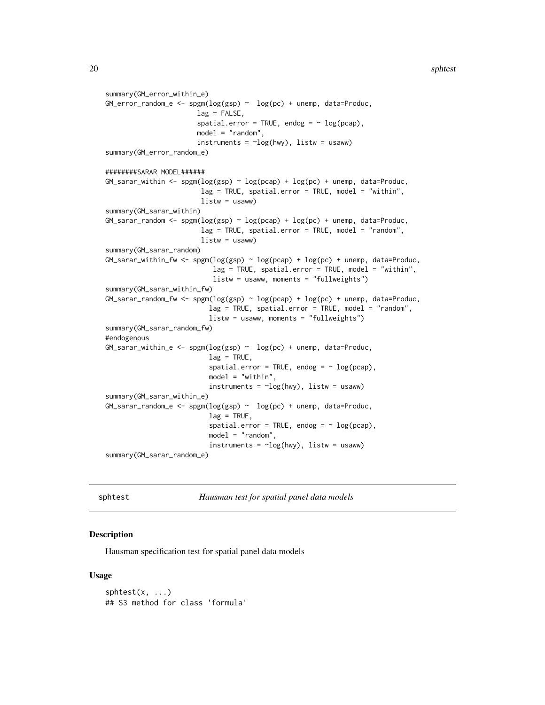```
summary(GM_error_within_e)
GM_error_random_e <- spam(log(sp) ~ log(pc) + unemp, data=Produc,
                        lag = FALSE,
                        spatial.error = TRUE, endog = \sim log(pcap),
                        model = "random",
                        instruments = \simlog(hwy), listw = usaww)
summary(GM_error_random_e)
########SARAR MODEL######
GM_sarar_within <- spgm(log(sp) \sim log(pcap) + log(pc) + unemp, data=Product,lag = TRUE, spatial.error = TRUE, model = "within",
                         listw = usaww)summary(GM_sarar_within)
GM_{\text{a}}sarar_random <- spgm(log(ssp) \sim log(pcap) + log(pc) +unemp, data=Produc,
                         lag = TRUE, spatial.error = TRUE, model = "random",
                         listw = usaww)summary(GM_sarar_random)
GM_sarar_within_fw <- spgm(log(ssp) \sim log(pcap) + log(pc) + unemp, data=Product,lag = TRUE, spatial.error = TRUE, model = "within",
                             listw = usaww, moments = "fullweights")
summary(GM_sarar_within_fw)
GM_{\rm}sarar_random_fw <- spgm(log(gsp) \sim log(pcap) + log(pc) + unemp, data=Product,lag = TRUE, spatial.error = TRUE, model = "random",
                           listw = usaww, moments = "fullweights")
summary(GM_sarar_random_fw)
#endogenous
GM_sarar_within_e <- spam(log(ssp) \sim log(pc) + unemp, data=Produc,
                            lag = TRUE,spatial.error = TRUE, endog = \sim log(pcap),
                           model = "within",
                            instruments = \neglog(hwy), listw = usaww)
summary(GM_sarar_within_e)
GM\_sarar\_random_e \leq - \text{spam}(\log(\text{gsp}) \sim \log(\text{pc}) + \text{unemp}, \text{data=Product},lag = TRUE,spatial.error = TRUE, endog = \sim log(pcap),
                           model = "random",
                            instruments = \neg \log(\text{hwy}), listw = usaww)
```
summary(GM\_sarar\_random\_e)

sphtest *Hausman test for spatial panel data models*

# **Description**

Hausman specification test for spatial panel data models

#### Usage

 $sphtest(x, \ldots)$ ## S3 method for class 'formula'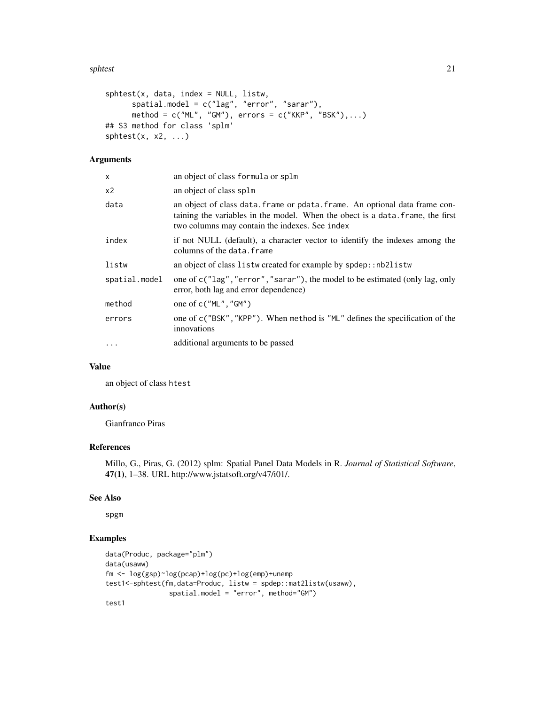#### sphtest 21

```
splits(t, data, index = NULL, listw,spatial.model = c("lag", "error", "sarar"),
     method = c("ML", "GM"), errors = c("KKP", "BSK"),...)
## S3 method for class 'splm'
sphtest(x, x2, ...)
```
#### Arguments

| an object of class formula or splm                                                                                                                                                                              |
|-----------------------------------------------------------------------------------------------------------------------------------------------------------------------------------------------------------------|
| an object of class splm                                                                                                                                                                                         |
| an object of class data. frame or pdata. frame. An optional data frame con-<br>taining the variables in the model. When the obect is a data. frame, the first<br>two columns may contain the indexes. See index |
| if not NULL (default), a character vector to identify the indexes among the<br>columns of the data.frame                                                                                                        |
| an object of class listw created for example by spdep:: nb2listw                                                                                                                                                |
| one of c("lag", "error", "sarar"), the model to be estimated (only lag, only<br>error, both lag and error dependence)                                                                                           |
| one of $c("ML", "GM")$                                                                                                                                                                                          |
| one of c("BSK", "KPP"). When method is "ML" defines the specification of the<br>innovations                                                                                                                     |
| additional arguments to be passed                                                                                                                                                                               |
|                                                                                                                                                                                                                 |

# Value

an object of class htest

# Author(s)

Gianfranco Piras

# References

Millo, G., Piras, G. (2012) splm: Spatial Panel Data Models in R. *Journal of Statistical Software*, 47(1), 1–38. URL http://www.jstatsoft.org/v47/i01/.

# See Also

spgm

# Examples

```
data(Produc, package="plm")
data(usaww)
fm <- log(gsp)~log(pcap)+log(pc)+log(emp)+unemp
test1<-sphtest(fm,data=Produc, listw = spdep::mat2listw(usaww),
                spatial.model = "error", method="GM")
test1
```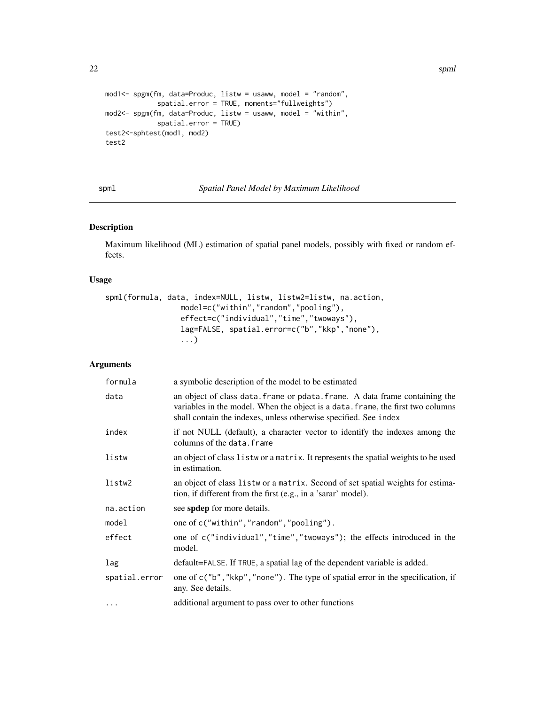```
mod1<- spgm(fm, data=Produc, listw = usaww, model = "random",
             spatial.error = TRUE, moments="fullweights")
mod2<- spgm(fm, data=Produc, listw = usaww, model = "within",
             spatial.error = TRUE)
test2<-sphtest(mod1, mod2)
test2
```
spml *Spatial Panel Model by Maximum Likelihood*

# Description

Maximum likelihood (ML) estimation of spatial panel models, possibly with fixed or random effects.

# Usage

```
spml(formula, data, index=NULL, listw, listw2=listw, na.action,
                model=c("within","random","pooling"),
                effect=c("individual","time","twoways"),
                 lag=FALSE, spatial.error=c("b","kkp","none"),
                 ...)
```

| formula       | a symbolic description of the model to be estimated                                                                                                                                                                                |
|---------------|------------------------------------------------------------------------------------------------------------------------------------------------------------------------------------------------------------------------------------|
| data          | an object of class data. frame or pdata. frame. A data frame containing the<br>variables in the model. When the object is a data. frame, the first two columns<br>shall contain the indexes, unless otherwise specified. See index |
| index         | if not NULL (default), a character vector to identify the indexes among the<br>columns of the data. frame                                                                                                                          |
| listw         | an object of class listwor a matrix. It represents the spatial weights to be used<br>in estimation.                                                                                                                                |
| listw2        | an object of class list wor a matrix. Second of set spatial weights for estima-<br>tion, if different from the first (e.g., in a 'sarar' model).                                                                                   |
| na.action     | see spdep for more details.                                                                                                                                                                                                        |
| model         | one of c("within","random","pooling").                                                                                                                                                                                             |
| effect        | one of c("individual","time","twoways"); the effects introduced in the<br>model.                                                                                                                                                   |
| lag           | default=FALSE. If TRUE, a spatial lag of the dependent variable is added.                                                                                                                                                          |
| spatial.error | one of c("b", "kkp", "none"). The type of spatial error in the specification, if<br>any. See details.                                                                                                                              |
| $\cdots$      | additional argument to pass over to other functions                                                                                                                                                                                |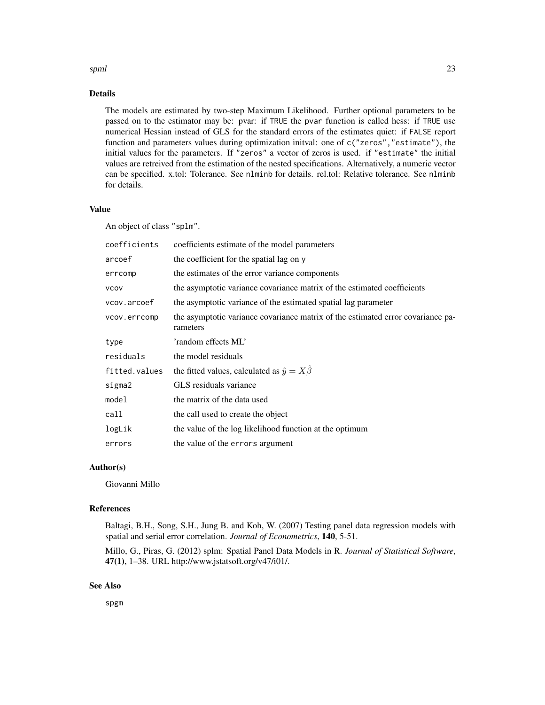#### spml 23

# Details

The models are estimated by two-step Maximum Likelihood. Further optional parameters to be passed on to the estimator may be: pvar: if TRUE the pvar function is called hess: if TRUE use numerical Hessian instead of GLS for the standard errors of the estimates quiet: if FALSE report function and parameters values during optimization initval: one of c("zeros","estimate"), the initial values for the parameters. If "zeros" a vector of zeros is used. if "estimate" the initial values are retreived from the estimation of the nested specifications. Alternatively, a numeric vector can be specified. x.tol: Tolerance. See nlminb for details. rel.tol: Relative tolerance. See nlminb for details.

# Value

An object of class "splm".

| coefficients  | coefficients estimate of the model parameters                                               |
|---------------|---------------------------------------------------------------------------------------------|
| arcoef        | the coefficient for the spatial lag on y                                                    |
| errcomp       | the estimates of the error variance components                                              |
| <b>VCOV</b>   | the asymptotic variance covariance matrix of the estimated coefficients                     |
| vcov.arcoef   | the asymptotic variance of the estimated spatial lag parameter                              |
| vcov.errcomp  | the asymptotic variance covariance matrix of the estimated error covariance pa-<br>rameters |
| type          | 'random effects ML'                                                                         |
| residuals     | the model residuals                                                                         |
| fitted.values | the fitted values, calculated as $\hat{y} = X\hat{\beta}$                                   |
| sigma2        | GLS residuals variance                                                                      |
| model         | the matrix of the data used                                                                 |
| call          | the call used to create the object                                                          |
| logLik        | the value of the log likelihood function at the optimum                                     |
| errors        | the value of the errors argument                                                            |

# Author(s)

Giovanni Millo

# References

Baltagi, B.H., Song, S.H., Jung B. and Koh, W. (2007) Testing panel data regression models with spatial and serial error correlation. *Journal of Econometrics*, 140, 5-51.

Millo, G., Piras, G. (2012) splm: Spatial Panel Data Models in R. *Journal of Statistical Software*, 47(1), 1–38. URL http://www.jstatsoft.org/v47/i01/.

# See Also

spgm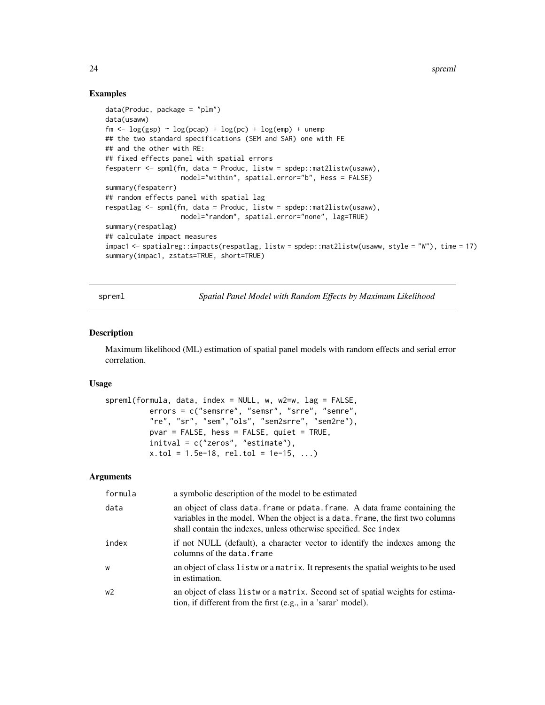24 spreml

# Examples

```
data(Produc, package = "plm")
data(usaww)
fm \leftarrow log(gsp) \sim log(pcap) + log(pc) + log(emp) + unemp
## the two standard specifications (SEM and SAR) one with FE
## and the other with RE:
## fixed effects panel with spatial errors
fespaterr <- spml(fm, data = Produc, listw = spdep::mat2listw(usaww),
                   model="within", spatial.error="b", Hess = FALSE)
summary(fespaterr)
## random effects panel with spatial lag
respatlag <- spml(fm, data = Produc, listw = spdep::mat2listw(usaww),
                   model="random", spatial.error="none", lag=TRUE)
summary(respatlag)
## calculate impact measures
impac1 <- spatialreg::impacts(respatlag, listw = spdep::mat2listw(usaww, style = "W"), time = 17)
summary(impac1, zstats=TRUE, short=TRUE)
```
spreml *Spatial Panel Model with Random Effects by Maximum Likelihood*

#### Description

Maximum likelihood (ML) estimation of spatial panel models with random effects and serial error correlation.

# Usage

```
spreml(formula, data, index = NULL, w, w2=w, lag = FALSE,
          errors = c("semsrre", "semsr", "srre", "semre",
          "re", "sr", "sem","ols", "sem2srre", "sem2re"),
         pvar = FALSE, hess = FALSE, quiet = TRUE,
          initval = c("zeros", "estimate"),
          x.tol = 1.5e-18, rel.tol = 1e-15, ...)
```

| formula        | a symbolic description of the model to be estimated                                                                                                                                                                                |
|----------------|------------------------------------------------------------------------------------------------------------------------------------------------------------------------------------------------------------------------------------|
| data           | an object of class data. frame or pdata. frame. A data frame containing the<br>variables in the model. When the object is a data, frame, the first two columns<br>shall contain the indexes, unless otherwise specified. See index |
| index          | if not NULL (default), a character vector to identify the indexes among the<br>columns of the data, frame                                                                                                                          |
| W              | an object of class list wor a matrix. It represents the spatial weights to be used<br>in estimation.                                                                                                                               |
| w <sub>2</sub> | an object of class list wor a matrix. Second set of spatial weights for estima-<br>tion, if different from the first (e.g., in a 'sarar' model).                                                                                   |

<span id="page-23-0"></span>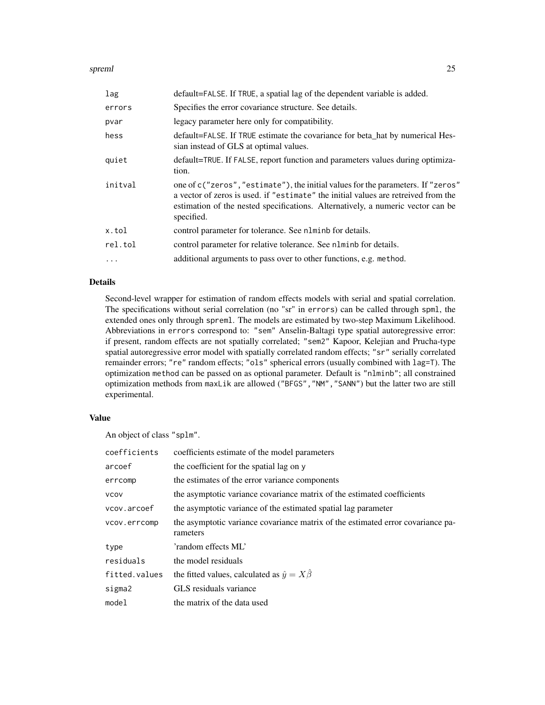#### spreml 25

| lag      | default=FALSE. If TRUE, a spatial lag of the dependent variable is added.                                                                                                                                                                                               |
|----------|-------------------------------------------------------------------------------------------------------------------------------------------------------------------------------------------------------------------------------------------------------------------------|
| errors   | Specifies the error covariance structure. See details.                                                                                                                                                                                                                  |
| pvar     | legacy parameter here only for compatibility.                                                                                                                                                                                                                           |
| hess     | default=FALSE. If TRUE estimate the covariance for beta_hat by numerical Hes-<br>sian instead of GLS at optimal values.                                                                                                                                                 |
| quiet    | default=TRUE. If FALSE, report function and parameters values during optimiza-<br>tion.                                                                                                                                                                                 |
| initval  | one of c("zeros", "estimate"), the initial values for the parameters. If "zeros"<br>a vector of zeros is used, if "estimate" the initial values are retreived from the<br>estimation of the nested specifications. Alternatively, a numeric vector can be<br>specified. |
| x.tol    | control parameter for tolerance. See nlminb for details.                                                                                                                                                                                                                |
| rel.tol  | control parameter for relative tolerance. See n1minb for details.                                                                                                                                                                                                       |
| $\cdots$ | additional arguments to pass over to other functions, e.g. method.                                                                                                                                                                                                      |

# Details

Second-level wrapper for estimation of random effects models with serial and spatial correlation. The specifications without serial correlation (no "sr" in errors) can be called through spml, the extended ones only through spreml. The models are estimated by two-step Maximum Likelihood. Abbreviations in errors correspond to: "sem" Anselin-Baltagi type spatial autoregressive error: if present, random effects are not spatially correlated; "sem2" Kapoor, Kelejian and Prucha-type spatial autoregressive error model with spatially correlated random effects; "sr" serially correlated remainder errors; "re" random effects; "ols" spherical errors (usually combined with lag=T). The optimization method can be passed on as optional parameter. Default is "nlminb"; all constrained optimization methods from maxLik are allowed ("BFGS","NM","SANN") but the latter two are still experimental.

#### Value

An object of class "splm".

| coefficients  | coefficients estimate of the model parameters                                               |
|---------------|---------------------------------------------------------------------------------------------|
| arcoef        | the coefficient for the spatial lag on y                                                    |
| errcomp       | the estimates of the error variance components                                              |
| <b>VCOV</b>   | the asymptotic variance covariance matrix of the estimated coefficients                     |
| vcov.arcoef   | the asymptotic variance of the estimated spatial lag parameter                              |
| vcov.errcomp  | the asymptotic variance covariance matrix of the estimated error covariance pa-<br>rameters |
| type          | 'random effects ML'                                                                         |
| residuals     | the model residuals                                                                         |
| fitted.values | the fitted values, calculated as $\hat{y} = X\hat{\beta}$                                   |
| sigma2        | GLS residuals variance                                                                      |
| model         | the matrix of the data used                                                                 |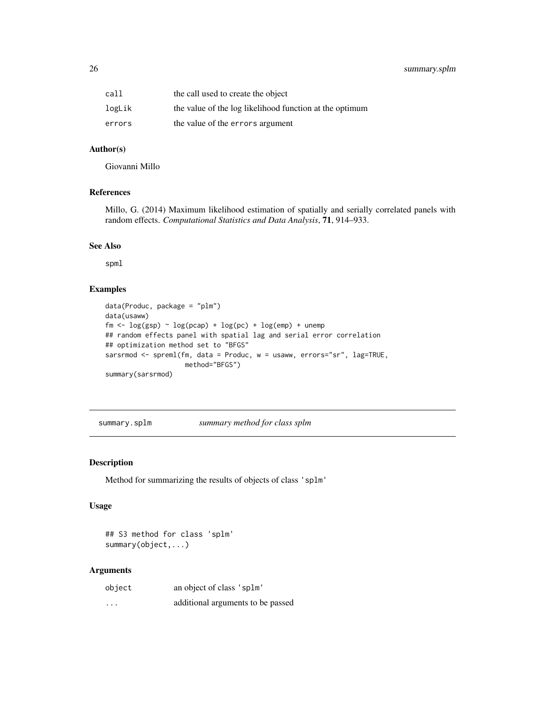# <span id="page-25-0"></span>26 summary.splm

| call   | the call used to create the object                      |
|--------|---------------------------------------------------------|
| logLik | the value of the log likelihood function at the optimum |
| errors | the value of the errors argument                        |

# Author(s)

Giovanni Millo

# References

Millo, G. (2014) Maximum likelihood estimation of spatially and serially correlated panels with random effects. *Computational Statistics and Data Analysis*, 71, 914–933.

#### See Also

spml

# Examples

```
data(Produc, package = "plm")
data(usaww)
fm \leftarrow \log(gsp) \sim \log(pcap) + \log(pc) + \log(emp) + unemp## random effects panel with spatial lag and serial error correlation
## optimization method set to "BFGS"
sarsrmod <- spreml(fm, data = Produc, w = usaww, errors="sr", lag=TRUE,
                     method="BFGS")
summary(sarsrmod)
```
summary.splm *summary method for class splm*

#### Description

Method for summarizing the results of objects of class 'splm'

# Usage

## S3 method for class 'splm' summary(object,...)

| object   | an object of class 'splm'         |
|----------|-----------------------------------|
| $\cdots$ | additional arguments to be passed |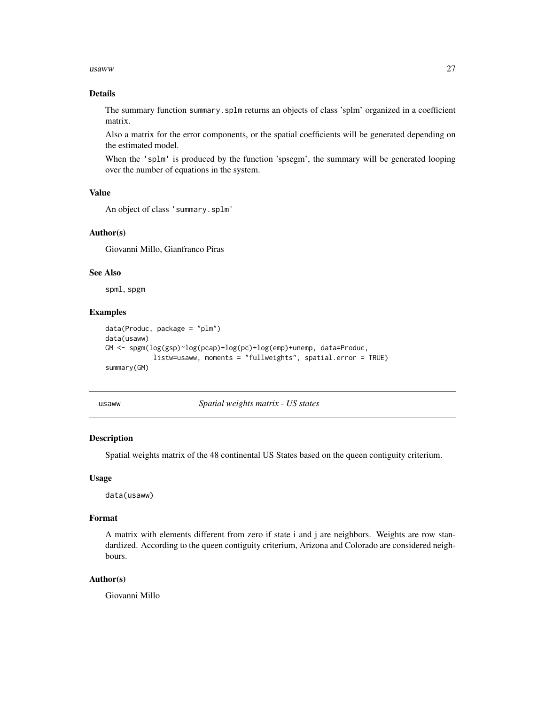#### <span id="page-26-0"></span> $u$ saww  $27$

# Details

The summary function summary.splm returns an objects of class 'splm' organized in a coefficient matrix.

Also a matrix for the error components, or the spatial coefficients will be generated depending on the estimated model.

When the 'splm' is produced by the function 'spsegm', the summary will be generated looping over the number of equations in the system.

#### Value

```
An object of class 'summary.splm'
```
# Author(s)

Giovanni Millo, Gianfranco Piras

# See Also

spml, spgm

# Examples

```
data(Produc, package = "plm")
data(usaww)
GM <- spgm(log(gsp)~log(pcap)+log(pc)+log(emp)+unemp, data=Produc,
            listw=usaww, moments = "fullweights", spatial.error = TRUE)
summary(GM)
```
usaww *Spatial weights matrix - US states*

# Description

Spatial weights matrix of the 48 continental US States based on the queen contiguity criterium.

#### Usage

data(usaww)

#### Format

A matrix with elements different from zero if state i and j are neighbors. Weights are row standardized. According to the queen contiguity criterium, Arizona and Colorado are considered neighbours.

# Author(s)

Giovanni Millo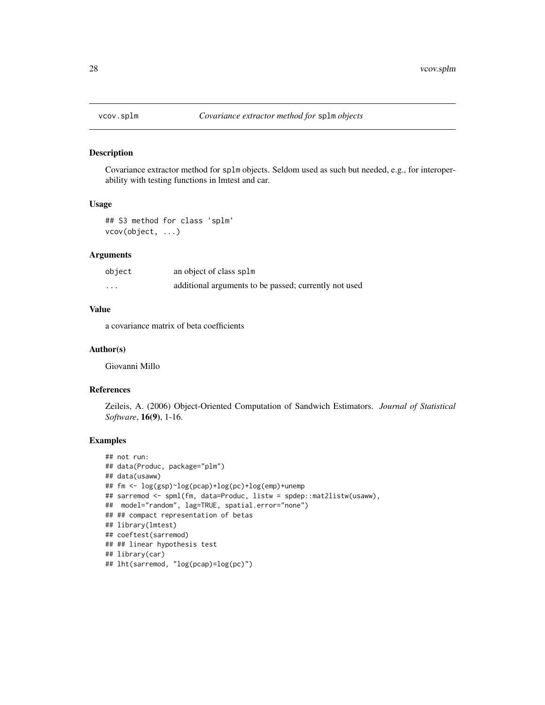<span id="page-27-0"></span>

#### Description

Covariance extractor method for splm objects. Seldom used as such but needed, e.g., for interoperability with testing functions in lmtest and car.

#### Usage

```
## S3 method for class 'splm'
vcov(object, ...)
```
# Arguments

| object | an object of class splm                               |
|--------|-------------------------------------------------------|
| .      | additional arguments to be passed; currently not used |

# Value

a covariance matrix of beta coefficients

#### Author(s)

Giovanni Millo

#### References

Zeileis, A. (2006) Object-Oriented Computation of Sandwich Estimators. *Journal of Statistical Software*, 16(9), 1-16.

# Examples

```
## not run:
## data(Produc, package="plm")
## data(usaww)
## fm <- log(gsp)~log(pcap)+log(pc)+log(emp)+unemp
## sarremod <- spml(fm, data=Produc, listw = spdep::mat2listw(usaww),
## model="random", lag=TRUE, spatial.error="none")
## ## compact representation of betas
## library(lmtest)
## coeftest(sarremod)
## ## linear hypothesis test
## library(car)
## lht(sarremod, "log(pcap)=log(pc)")
```